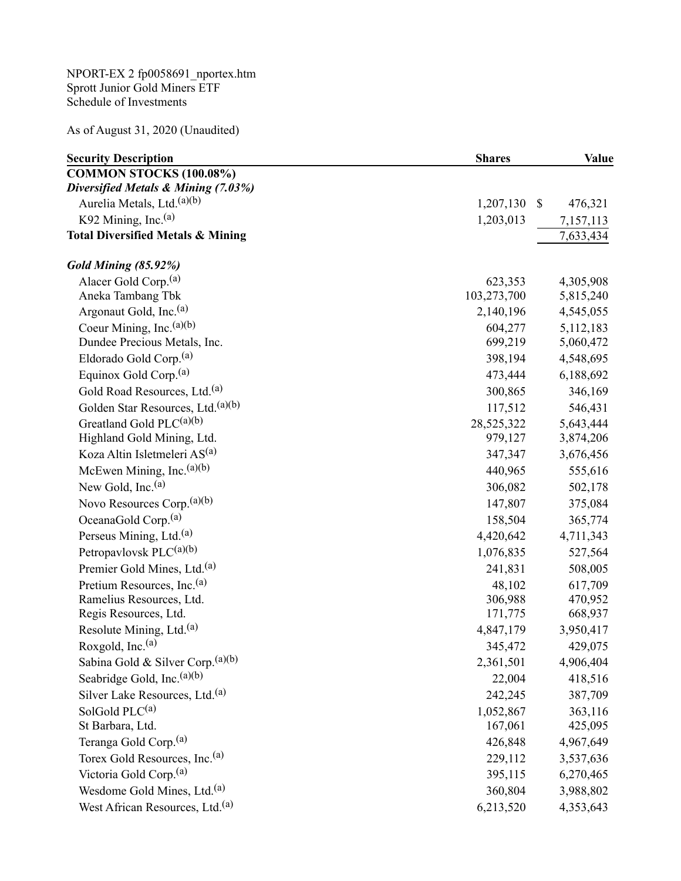NPORT-EX 2 fp0058691\_nportex.htm Sprott Junior Gold Miners ETF Schedule of Investments

As of August 31, 2020 (Unaudited)

| <b>Security Description</b>                   | <b>Shares</b>   | <b>Value</b> |
|-----------------------------------------------|-----------------|--------------|
| <b>COMMON STOCKS (100.08%)</b>                |                 |              |
| Diversified Metals & Mining (7.03%)           |                 |              |
| Aurelia Metals, Ltd. <sup>(a)(b)</sup>        | 1,207,130<br>\$ | 476,321      |
| K92 Mining, Inc. $(a)$                        | 1,203,013       | 7,157,113    |
| <b>Total Diversified Metals &amp; Mining</b>  |                 | 7,633,434    |
| <b>Gold Mining (85.92%)</b>                   |                 |              |
| Alacer Gold Corp. <sup>(a)</sup>              | 623,353         | 4,305,908    |
| Aneka Tambang Tbk                             | 103,273,700     | 5,815,240    |
| Argonaut Gold, Inc. <sup>(a)</sup>            | 2,140,196       | 4,545,055    |
| Coeur Mining, Inc. $(a)(b)$                   | 604,277         | 5,112,183    |
| Dundee Precious Metals, Inc.                  | 699,219         | 5,060,472    |
| Eldorado Gold Corp. <sup>(a)</sup>            | 398,194         | 4,548,695    |
| Equinox Gold Corp. <sup>(a)</sup>             | 473,444         | 6,188,692    |
| Gold Road Resources, Ltd. <sup>(a)</sup>      | 300,865         | 346,169      |
| Golden Star Resources, Ltd. <sup>(a)(b)</sup> | 117,512         | 546,431      |
| Greatland Gold PLC <sup>(a)(b)</sup>          | 28,525,322      | 5,643,444    |
| Highland Gold Mining, Ltd.                    | 979,127         | 3,874,206    |
| Koza Altin Isletmeleri AS <sup>(a)</sup>      | 347,347         | 3,676,456    |
| McEwen Mining, Inc. <sup>(a)(b)</sup>         | 440,965         | 555,616      |
| New Gold, Inc. <sup>(a)</sup>                 | 306,082         | 502,178      |
| Novo Resources Corp. <sup>(a)(b)</sup>        | 147,807         | 375,084      |
| OceanaGold Corp. <sup>(a)</sup>               | 158,504         | 365,774      |
| Perseus Mining, Ltd. <sup>(a)</sup>           | 4,420,642       | 4,711,343    |
| Petropavlovsk PLC(a)(b)                       | 1,076,835       | 527,564      |
| Premier Gold Mines, Ltd. <sup>(a)</sup>       | 241,831         | 508,005      |
| Pretium Resources, Inc. <sup>(a)</sup>        | 48,102          | 617,709      |
| Ramelius Resources, Ltd.                      | 306,988         | 470,952      |
| Regis Resources, Ltd.                         | 171,775         | 668,937      |
| Resolute Mining, Ltd. <sup>(a)</sup>          | 4,847,179       | 3,950,417    |
| Roxgold, Inc. $(a)$                           | 345,472         | 429,075      |
| Sabina Gold & Silver Corp. (a)(b)             | 2,361,501       | 4,906,404    |
| Seabridge Gold, Inc. <sup>(a)(b)</sup>        | 22,004          | 418,516      |
| Silver Lake Resources, Ltd. <sup>(a)</sup>    | 242,245         | 387,709      |
| SolGold PLC(a)                                | 1,052,867       | 363,116      |
| St Barbara, Ltd.                              | 167,061         | 425,095      |
| Teranga Gold Corp. <sup>(a)</sup>             | 426,848         | 4,967,649    |
| Torex Gold Resources, Inc. <sup>(a)</sup>     | 229,112         | 3,537,636    |
| Victoria Gold Corp. <sup>(a)</sup>            | 395,115         | 6,270,465    |
| Wesdome Gold Mines, Ltd. <sup>(a)</sup>       | 360,804         | 3,988,802    |
| West African Resources, Ltd. <sup>(a)</sup>   | 6,213,520       | 4,353,643    |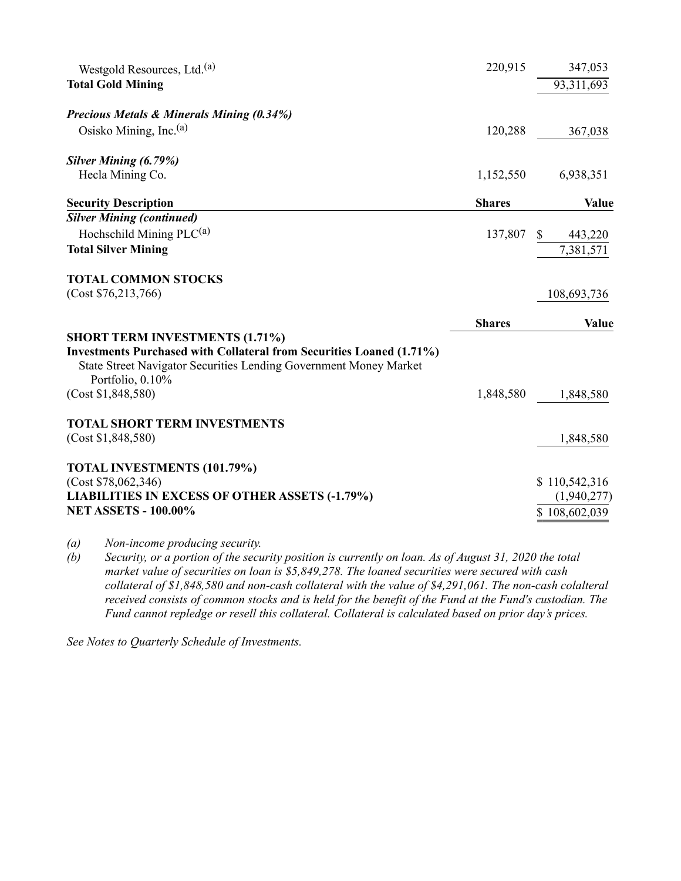| Westgold Resources, Ltd. <sup>(a)</sup>                                                                                                          | 220,915       | 347,053                      |
|--------------------------------------------------------------------------------------------------------------------------------------------------|---------------|------------------------------|
| <b>Total Gold Mining</b>                                                                                                                         |               | 93,311,693                   |
| <b>Precious Metals &amp; Minerals Mining (0.34%)</b>                                                                                             |               |                              |
| Osisko Mining, Inc. <sup>(a)</sup>                                                                                                               | 120,288       | 367,038                      |
| <b>Silver Mining (6.79%)</b>                                                                                                                     |               |                              |
| Hecla Mining Co.                                                                                                                                 | 1,152,550     | 6,938,351                    |
| <b>Security Description</b>                                                                                                                      | <b>Shares</b> | <b>Value</b>                 |
| <b>Silver Mining (continued)</b>                                                                                                                 |               |                              |
| Hochschild Mining $PLC^{(a)}$                                                                                                                    | 137,807       | $\mathbb{S}$<br>443,220      |
| <b>Total Silver Mining</b>                                                                                                                       |               | 7,381,571                    |
| <b>TOTAL COMMON STOCKS</b>                                                                                                                       |               |                              |
|                                                                                                                                                  |               |                              |
| (Cost \$76,213,766)                                                                                                                              |               | 108,693,736                  |
|                                                                                                                                                  | <b>Shares</b> | Value                        |
| <b>SHORT TERM INVESTMENTS (1.71%)</b>                                                                                                            |               |                              |
| <b>Investments Purchased with Collateral from Securities Loaned (1.71%)</b><br>State Street Navigator Securities Lending Government Money Market |               |                              |
| Portfolio, 0.10%<br>(Cost \$1,848,580)                                                                                                           | 1,848,580     | 1,848,580                    |
|                                                                                                                                                  |               |                              |
| <b>TOTAL SHORT TERM INVESTMENTS</b><br>(Cost \$1,848,580)                                                                                        |               | 1,848,580                    |
|                                                                                                                                                  |               |                              |
| TOTAL INVESTMENTS (101.79%)                                                                                                                      |               |                              |
| (Cost \$78,062,346)<br><b>LIABILITIES IN EXCESS OF OTHER ASSETS (-1.79%)</b>                                                                     |               | \$110,542,316<br>(1,940,277) |

(a) Non-income producing security.

(b) Security, or a portion of the security position is currently on loan. As of August 31, 2020 the total market value of securities on loan is \$5,849,278. The loaned securities were secured with cash collateral of \$1,848,580 and non-cash collateral with the value of \$4,291,061. The non-cash colalteral received consists of common stocks and is held for the benefit of the Fund at the Fund's custodian. The Fund cannot repledge or resell this collateral. Collateral is calculated based on prior day's prices.

See Notes to Quarterly Schedule of Investments.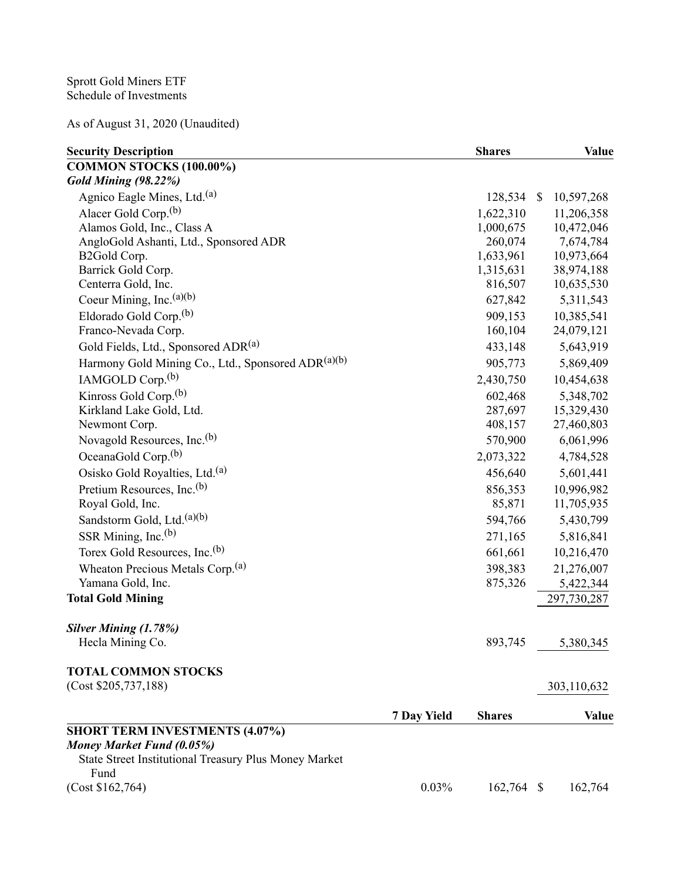As of August 31, 2020 (Unaudited)

| <b>Security Description</b>                                   |             | <b>Shares</b> |                           | <b>Value</b> |
|---------------------------------------------------------------|-------------|---------------|---------------------------|--------------|
| COMMON STOCKS (100.00%)                                       |             |               |                           |              |
| Gold Mining (98.22%)                                          |             |               |                           |              |
| Agnico Eagle Mines, Ltd. <sup>(a)</sup>                       |             | 128,534       | $\boldsymbol{\mathsf{S}}$ | 10,597,268   |
| Alacer Gold Corp. <sup>(b)</sup>                              |             | 1,622,310     |                           | 11,206,358   |
| Alamos Gold, Inc., Class A                                    |             | 1,000,675     |                           | 10,472,046   |
| AngloGold Ashanti, Ltd., Sponsored ADR                        |             | 260,074       |                           | 7,674,784    |
| B2Gold Corp.                                                  |             | 1,633,961     |                           | 10,973,664   |
| Barrick Gold Corp.                                            |             | 1,315,631     |                           | 38,974,188   |
| Centerra Gold, Inc.                                           |             | 816,507       |                           | 10,635,530   |
| Coeur Mining, Inc. <sup>(a)(b)</sup>                          |             | 627,842       |                           | 5,311,543    |
| Eldorado Gold Corp. <sup>(b)</sup>                            |             | 909,153       |                           | 10,385,541   |
| Franco-Nevada Corp.                                           |             | 160,104       |                           | 24,079,121   |
| Gold Fields, Ltd., Sponsored ADR(a)                           |             | 433,148       |                           | 5,643,919    |
| Harmony Gold Mining Co., Ltd., Sponsored ADR(a)(b)            |             | 905,773       |                           | 5,869,409    |
| IAMGOLD Corp. <sup>(b)</sup>                                  |             | 2,430,750     |                           | 10,454,638   |
| Kinross Gold Corp. <sup>(b)</sup>                             |             | 602,468       |                           | 5,348,702    |
| Kirkland Lake Gold, Ltd.                                      |             | 287,697       |                           | 15,329,430   |
| Newmont Corp.                                                 |             | 408,157       |                           | 27,460,803   |
| Novagold Resources, Inc. <sup>(b)</sup>                       |             | 570,900       |                           | 6,061,996    |
| OceanaGold Corp. <sup>(b)</sup>                               |             | 2,073,322     |                           | 4,784,528    |
| Osisko Gold Royalties, Ltd. <sup>(a)</sup>                    |             | 456,640       |                           | 5,601,441    |
| Pretium Resources, Inc. <sup>(b)</sup>                        |             | 856,353       |                           | 10,996,982   |
| Royal Gold, Inc.                                              |             | 85,871        |                           | 11,705,935   |
| Sandstorm Gold, Ltd. <sup>(a)(b)</sup>                        |             | 594,766       |                           | 5,430,799    |
| SSR Mining, Inc. $(b)$                                        |             | 271,165       |                           | 5,816,841    |
| Torex Gold Resources, Inc. <sup>(b)</sup>                     |             | 661,661       |                           | 10,216,470   |
| Wheaton Precious Metals Corp. <sup>(a)</sup>                  |             | 398,383       |                           | 21,276,007   |
| Yamana Gold, Inc.                                             |             | 875,326       |                           | 5,422,344    |
| <b>Total Gold Mining</b>                                      |             |               |                           | 297,730,287  |
|                                                               |             |               |                           |              |
| <b>Silver Mining (1.78%)</b>                                  |             |               |                           |              |
| Hecla Mining Co.                                              |             | 893,745       |                           | 5,380,345    |
| <b>TOTAL COMMON STOCKS</b>                                    |             |               |                           |              |
| (Cost \$205,737,188)                                          |             |               |                           | 303,110,632  |
|                                                               |             |               |                           |              |
|                                                               | 7 Day Yield | <b>Shares</b> |                           | <b>Value</b> |
| <b>SHORT TERM INVESTMENTS (4.07%)</b>                         |             |               |                           |              |
| Money Market Fund (0.05%)                                     |             |               |                           |              |
| State Street Institutional Treasury Plus Money Market<br>Fund |             |               |                           |              |
| (Cost \$162,764)                                              | 0.03%       | 162,764 \$    |                           | 162,764      |
|                                                               |             |               |                           |              |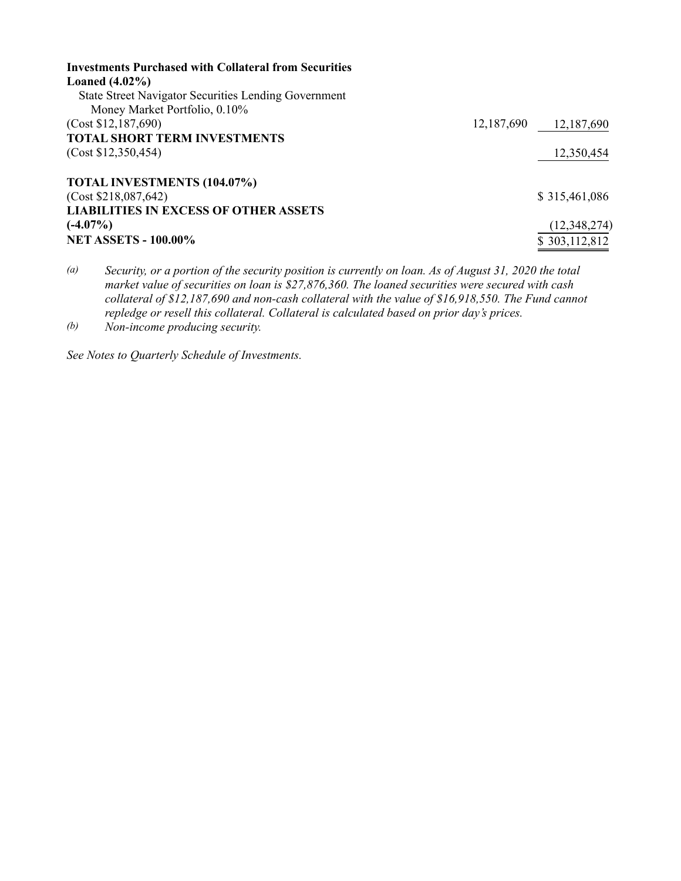| <b>Investments Purchased with Collateral from Securities</b> |            |                |
|--------------------------------------------------------------|------------|----------------|
| Loaned $(4.02\%)$                                            |            |                |
| <b>State Street Navigator Securities Lending Government</b>  |            |                |
| Money Market Portfolio, 0.10%                                |            |                |
| (Cost \$12,187,690)                                          | 12,187,690 | 12,187,690     |
| <b>TOTAL SHORT TERM INVESTMENTS</b>                          |            |                |
| (Cost \$12,350,454)                                          |            | 12,350,454     |
| TOTAL INVESTMENTS (104.07%)                                  |            |                |
| (Cost \$218,087,642)                                         |            | \$315,461,086  |
| <b>LIABILITIES IN EXCESS OF OTHER ASSETS</b>                 |            |                |
| $(-4.07\%)$                                                  |            | (12, 348, 274) |
| <b>NET ASSETS - 100.00%</b>                                  |            | \$303,112,812  |

(a) Security, or a portion of the security position is currently on loan. As of August 31, 2020 the total market value of securities on loan is \$27,876,360. The loaned securities were secured with cash collateral of \$12,187,690 and non-cash collateral with the value of \$16,918,550. The Fund cannot repledge or resell this collateral. Collateral is calculated based on prior day's prices.

(b) Non-income producing security.

See Notes to Quarterly Schedule of Investments.